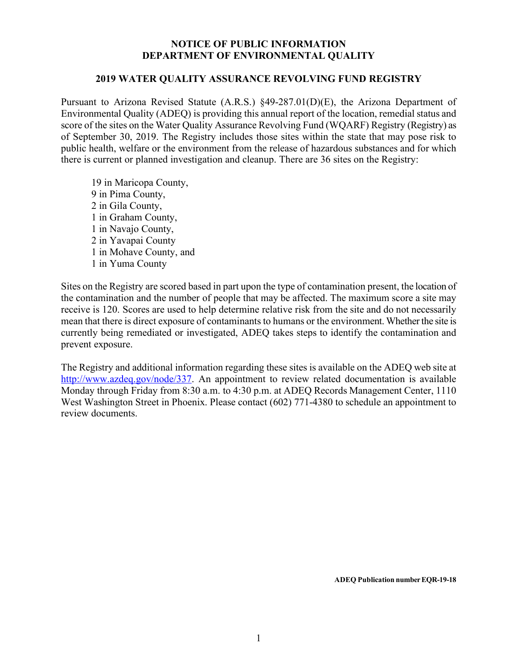## **NOTICE OF PUBLIC INFORMATION DEPARTMENT OF ENVIRONMENTAL QUALITY**

## **2019 WATER QUALITY ASSURANCE REVOLVING FUND REGISTRY**

Pursuant to Arizona Revised Statute (A.R.S.) §49-287.01(D)(E), the Arizona Department of Environmental Quality (ADEQ) is providing this annual report of the location, remedial status and score of the sites on the Water Quality Assurance Revolving Fund (WQARF) Registry (Registry) as of September 30, 2019. The Registry includes those sites within the state that may pose risk to public health, welfare or the environment from the release of hazardous substances and for which there is current or planned investigation and cleanup. There are 36 sites on the Registry:

 in Maricopa County, in Pima County, in Gila County, in Graham County, in Navajo County, 2 in Yavapai County 1 in Mohave County, and 1 in Yuma County

Sites on the Registry are scored based in part upon the type of contamination present, the location of the contamination and the number of people that may be affected. The maximum score a site may receive is 120. Scores are used to help determine relative risk from the site and do not necessarily mean that there is direct exposure of contaminants to humans or the environment. Whether the site is currently being remediated or investigated, ADEQ takes steps to identify the contamination and prevent exposure.

The Registry and additional information regarding these sites is available on the ADEQ web site at http://www.azdeq.gov/node/337. An appointment to review related documentation is available Monday through Friday from 8:30 a.m. to 4:30 p.m. at ADEQ Records Management Center, 1110 West Washington Street in Phoenix. Please contact (602) 771-4380 to schedule an appointment to review documents.

**ADEQ Publication number EQR-19-18**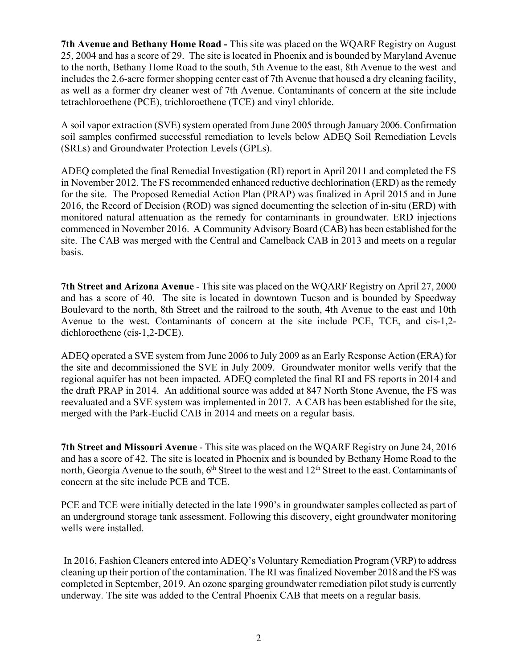**7th Avenue and Bethany Home Road -** This site was placed on the WQARF Registry on August 25, 2004 and has a score of 29. The site is located in Phoenix and is bounded by Maryland Avenue to the north, Bethany Home Road to the south, 5th Avenue to the east, 8th Avenue to the west and includes the 2.6-acre former shopping center east of 7th Avenue that housed a dry cleaning facility, as well as a former dry cleaner west of 7th Avenue. Contaminants of concern at the site include tetrachloroethene (PCE), trichloroethene (TCE) and vinyl chloride.

A soil vapor extraction (SVE) system operated from June 2005 through January 2006. Confirmation soil samples confirmed successful remediation to levels below ADEQ Soil Remediation Levels (SRLs) and Groundwater Protection Levels (GPLs).

ADEQ completed the final Remedial Investigation (RI) report in April 2011 and completed the FS in November 2012. The FS recommended enhanced reductive dechlorination (ERD) as the remedy for the site. The Proposed Remedial Action Plan (PRAP) was finalized in April 2015 and in June 2016, the Record of Decision (ROD) was signed documenting the selection of in-situ (ERD) with monitored natural attenuation as the remedy for contaminants in groundwater. ERD injections commenced in November 2016. A Community Advisory Board (CAB) has been established for the site. The CAB was merged with the Central and Camelback CAB in 2013 and meets on a regular basis.

**7th Street and Arizona Avenue** - This site was placed on the WQARF Registry on April 27, 2000 and has a score of 40. The site is located in downtown Tucson and is bounded by Speedway Boulevard to the north, 8th Street and the railroad to the south, 4th Avenue to the east and 10th Avenue to the west. Contaminants of concern at the site include PCE, TCE, and cis-1,2 dichloroethene (cis-1,2-DCE).

ADEQ operated a SVE system from June 2006 to July 2009 as an Early Response Action (ERA) for the site and decommissioned the SVE in July 2009. Groundwater monitor wells verify that the regional aquifer has not been impacted. ADEQ completed the final RI and FS reports in 2014 and the draft PRAP in 2014. An additional source was added at 847 North Stone Avenue, the FS was reevaluated and a SVE system was implemented in 2017. A CAB has been established for the site, merged with the Park-Euclid CAB in 2014 and meets on a regular basis.

**7th Street and Missouri Avenue** - This site was placed on the WQARF Registry on June 24, 2016 and has a score of 42. The site is located in Phoenix and is bounded by Bethany Home Road to the north, Georgia Avenue to the south, 6<sup>th</sup> Street to the west and 12<sup>th</sup> Street to the east. Contaminants of concern at the site include PCE and TCE.

PCE and TCE were initially detected in the late 1990's in groundwater samples collected as part of an underground storage tank assessment. Following this discovery, eight groundwater monitoring wells were installed.

In 2016, Fashion Cleaners entered into ADEQ's Voluntary Remediation Program (VRP) to address cleaning up their portion of the contamination. The RI was finalized November 2018 and the FS was completed in September, 2019. An ozone sparging groundwater remediation pilot study is currently underway. The site was added to the Central Phoenix CAB that meets on a regular basis.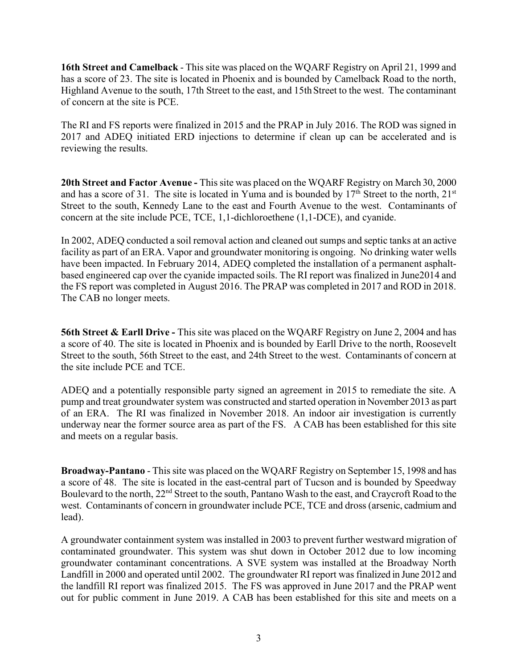**16th Street and Camelback** - This site was placed on the WQARF Registry on April 21, 1999 and has a score of 23. The site is located in Phoenix and is bounded by Camelback Road to the north, Highland Avenue to the south, 17th Street to the east, and 15th Street to the west. The contaminant of concern at the site is PCE.

The RI and FS reports were finalized in 2015 and the PRAP in July 2016. The ROD was signed in 2017 and ADEQ initiated ERD injections to determine if clean up can be accelerated and is reviewing the results.

**20th Street and Factor Avenue -** This site was placed on the WQARF Registry on March 30, 2000 and has a score of 31. The site is located in Yuma and is bounded by 17<sup>th</sup> Street to the north, 21<sup>st</sup> Street to the south, Kennedy Lane to the east and Fourth Avenue to the west. Contaminants of concern at the site include PCE, TCE, 1,1-dichloroethene (1,1-DCE), and cyanide.

In 2002, ADEQ conducted a soil removal action and cleaned out sumps and septic tanks at an active facility as part of an ERA. Vapor and groundwater monitoring is ongoing. No drinking water wells have been impacted. In February 2014, ADEQ completed the installation of a permanent asphaltbased engineered cap over the cyanide impacted soils. The RI report was finalized in June2014 and the FS report was completed in August 2016. The PRAP was completed in 2017 and ROD in 2018. The CAB no longer meets.

**56th Street & Earll Drive** - This site was placed on the WQARF Registry on June 2, 2004 and has a score of 40. The site is located in Phoenix and is bounded by Earll Drive to the north, Roosevelt Street to the south, 56th Street to the east, and 24th Street to the west. Contaminants of concern at the site include PCE and TCE.

ADEQ and a potentially responsible party signed an agreement in 2015 to remediate the site. A pump and treat groundwater system was constructed and started operation in November 2013 as part of an ERA. The RI was finalized in November 2018. An indoor air investigation is currently underway near the former source area as part of the FS. A CAB has been established for this site and meets on a regular basis.

**Broadway-Pantano** - This site was placed on the WQARF Registry on September 15, 1998 and has a score of 48. The site is located in the east-central part of Tucson and is bounded by Speedway Boulevard to the north, 22<sup>nd</sup> Street to the south, Pantano Wash to the east, and Craycroft Road to the west. Contaminants of concern in groundwater include PCE, TCE and dross(arsenic, cadmium and lead).

A groundwater containment system was installed in 2003 to prevent further westward migration of contaminated groundwater. This system was shut down in October 2012 due to low incoming groundwater contaminant concentrations. A SVE system was installed at the Broadway North Landfill in 2000 and operated until 2002. The groundwater RI report was finalized in June 2012 and the landfill RI report was finalized 2015. The FS was approved in June 2017 and the PRAP went out for public comment in June 2019. A CAB has been established for this site and meets on a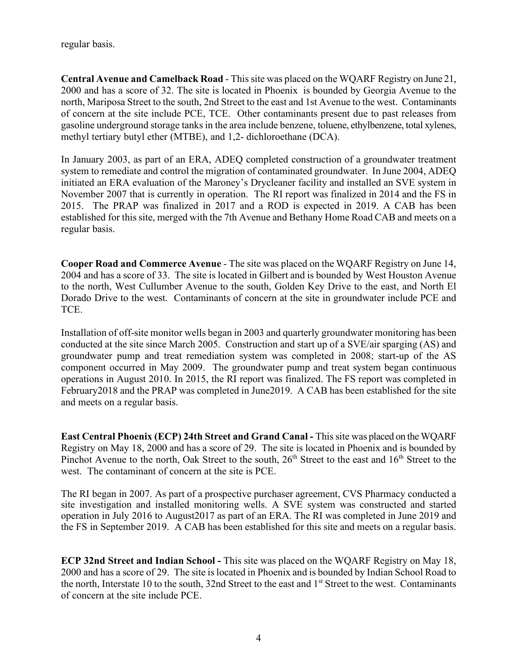regular basis.

**Central Avenue and Camelback Road** - This site was placed on the WQARF Registry on June 21, 2000 and has a score of 32. The site is located in Phoenix is bounded by Georgia Avenue to the north, Mariposa Street to the south, 2nd Street to the east and 1st Avenue to the west. Contaminants of concern at the site include PCE, TCE. Other contaminants present due to past releases from gasoline underground storage tanks in the area include benzene, toluene, ethylbenzene, total xylenes, methyl tertiary butyl ether (MTBE), and 1,2- dichloroethane (DCA).

In January 2003, as part of an ERA, ADEQ completed construction of a groundwater treatment system to remediate and control the migration of contaminated groundwater. In June 2004, ADEQ initiated an ERA evaluation of the Maroney's Drycleaner facility and installed an SVE system in November 2007 that is currently in operation. The RI report was finalized in 2014 and the FS in 2015. The PRAP was finalized in 2017 and a ROD is expected in 2019. A CAB has been established for this site, merged with the 7th Avenue and Bethany Home Road CAB and meets on a regular basis.

**Cooper Road and Commerce Avenue** - The site was placed on the WQARF Registry on June 14, 2004 and has a score of 33. The site is located in Gilbert and is bounded by West Houston Avenue to the north, West Cullumber Avenue to the south, Golden Key Drive to the east, and North El Dorado Drive to the west. Contaminants of concern at the site in groundwater include PCE and TCE.

Installation of off-site monitor wells began in 2003 and quarterly groundwater monitoring has been conducted at the site since March 2005. Construction and start up of a SVE/air sparging (AS) and groundwater pump and treat remediation system was completed in 2008; start-up of the AS component occurred in May 2009. The groundwater pump and treat system began continuous operations in August 2010. In 2015, the RI report was finalized. The FS report was completed in February2018 and the PRAP was completed in June2019. A CAB has been established for the site and meets on a regular basis.

**East Central Phoenix (ECP) 24th Street and Grand Canal -** This site was placed on the WQARF Registry on May 18, 2000 and has a score of 29. The site is located in Phoenix and is bounded by Pinchot Avenue to the north, Oak Street to the south,  $26<sup>th</sup>$  Street to the east and  $16<sup>th</sup>$  Street to the west. The contaminant of concern at the site is PCE.

The RI began in 2007. As part of a prospective purchaser agreement, CVS Pharmacy conducted a site investigation and installed monitoring wells. A SVE system was constructed and started operation in July 2016 to August2017 as part of an ERA. The RI was completed in June 2019 and the FS in September 2019. A CAB has been established for this site and meets on a regular basis.

**ECP 32nd Street and Indian School -** This site was placed on the WQARF Registry on May 18, 2000 and has a score of 29. The site is located in Phoenix and is bounded by Indian School Road to the north, Interstate 10 to the south, 32nd Street to the east and 1<sup>st</sup> Street to the west. Contaminants of concern at the site include PCE.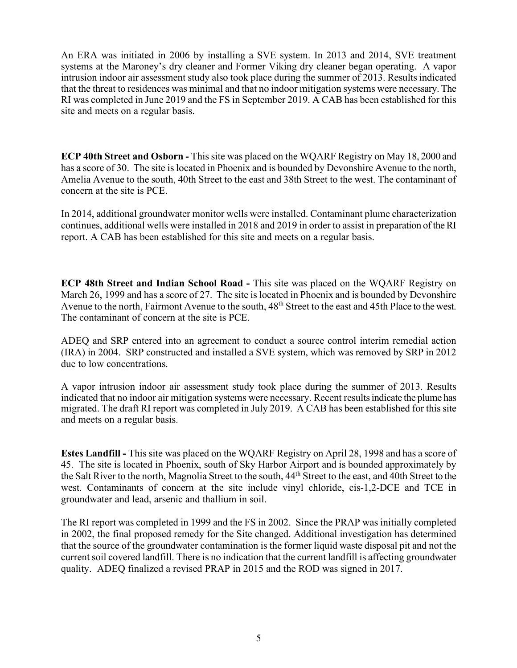An ERA was initiated in 2006 by installing a SVE system. In 2013 and 2014, SVE treatment systems at the Maroney's dry cleaner and Former Viking dry cleaner began operating. A vapor intrusion indoor air assessment study also took place during the summer of 2013. Results indicated that the threat to residences was minimal and that no indoor mitigation systems were necessary. The RI was completed in June 2019 and the FS in September 2019. A CAB has been established for this site and meets on a regular basis.

**ECP 40th Street and Osborn -** This site was placed on the WQARF Registry on May 18, 2000 and has a score of 30. The site is located in Phoenix and is bounded by Devonshire Avenue to the north, Amelia Avenue to the south, 40th Street to the east and 38th Street to the west. The contaminant of concern at the site is PCE.

In 2014, additional groundwater monitor wells were installed. Contaminant plume characterization continues, additional wells were installed in 2018 and 2019 in order to assist in preparation of the RI report. A CAB has been established for this site and meets on a regular basis.

**ECP 48th Street and Indian School Road -** This site was placed on the WQARF Registry on March 26, 1999 and has a score of 27. The site is located in Phoenix and is bounded by Devonshire Avenue to the north, Fairmont Avenue to the south,  $48<sup>th</sup>$  Street to the east and 45th Place to the west. The contaminant of concern at the site is PCE.

ADEQ and SRP entered into an agreement to conduct a source control interim remedial action (IRA) in 2004. SRP constructed and installed a SVE system, which was removed by SRP in 2012 due to low concentrations.

A vapor intrusion indoor air assessment study took place during the summer of 2013. Results indicated that no indoor air mitigation systems were necessary. Recent resultsindicate the plume has migrated. The draft RI report was completed in July 2019. A CAB has been established for this site and meets on a regular basis.

**Estes Landfill -** This site was placed on the WQARF Registry on April 28, 1998 and has a score of 45. The site is located in Phoenix, south of Sky Harbor Airport and is bounded approximately by the Salt River to the north, Magnolia Street to the south,  $44<sup>th</sup>$  Street to the east, and 40th Street to the west. Contaminants of concern at the site include vinyl chloride, cis-1,2-DCE and TCE in groundwater and lead, arsenic and thallium in soil.

The RI report was completed in 1999 and the FS in 2002. Since the PRAP was initially completed in 2002, the final proposed remedy for the Site changed. Additional investigation has determined that the source of the groundwater contamination is the former liquid waste disposal pit and not the current soil covered landfill. There is no indication that the current landfill is affecting groundwater quality. ADEQ finalized a revised PRAP in 2015 and the ROD was signed in 2017.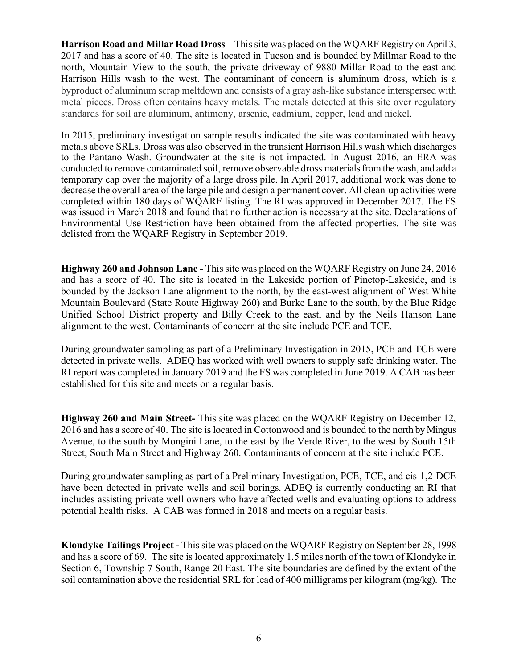**Harrison Road and Millar Road Dross –** This site was placed on the WQARF Registry on April 3, 2017 and has a score of 40. The site is located in Tucson and is bounded by Millmar Road to the north, Mountain View to the south, the private driveway of 9880 Millar Road to the east and Harrison Hills wash to the west. The contaminant of concern is aluminum dross, which is a byproduct of aluminum scrap meltdown and consists of a gray ash-like substance interspersed with metal pieces. Dross often contains heavy metals. The metals detected at this site over regulatory standards for soil are aluminum, antimony, arsenic, cadmium, copper, lead and nickel.

In 2015, preliminary investigation sample results indicated the site was contaminated with heavy metals above SRLs. Dross was also observed in the transient Harrison Hills wash which discharges to the Pantano Wash. Groundwater at the site is not impacted. In August 2016, an ERA was conducted to remove contaminated soil, remove observable dross materials from the wash, and add a temporary cap over the majority of a large dross pile. In April 2017, additional work was done to decrease the overall area of the large pile and design a permanent cover. All clean-up activities were completed within 180 days of WQARF listing. The RI was approved in December 2017. The FS was issued in March 2018 and found that no further action is necessary at the site. Declarations of Environmental Use Restriction have been obtained from the affected properties. The site was delisted from the WQARF Registry in September 2019.

**Highway 260 and Johnson Lane -** This site was placed on the WQARF Registry on June 24, 2016 and has a score of 40. The site is located in the Lakeside portion of Pinetop-Lakeside, and is bounded by the Jackson Lane alignment to the north, by the east-west alignment of West White Mountain Boulevard (State Route Highway 260) and Burke Lane to the south, by the Blue Ridge Unified School District property and Billy Creek to the east, and by the Neils Hanson Lane alignment to the west. Contaminants of concern at the site include PCE and TCE.

During groundwater sampling as part of a Preliminary Investigation in 2015, PCE and TCE were detected in private wells. ADEQ has worked with well owners to supply safe drinking water. The RI report was completed in January 2019 and the FS was completed in June 2019. A CAB has been established for this site and meets on a regular basis.

**Highway 260 and Main Street-** This site was placed on the WQARF Registry on December 12, 2016 and has a score of 40. The site is located in Cottonwood and is bounded to the north by Mingus Avenue, to the south by Mongini Lane, to the east by the Verde River, to the west by South 15th Street, South Main Street and Highway 260. Contaminants of concern at the site include PCE.

During groundwater sampling as part of a Preliminary Investigation, PCE, TCE, and cis-1,2-DCE have been detected in private wells and soil borings. ADEQ is currently conducting an RI that includes assisting private well owners who have affected wells and evaluating options to address potential health risks. A CAB was formed in 2018 and meets on a regular basis.

**Klondyke Tailings Project -** Thissite was placed on the WQARF Registry on September 28, 1998 and has a score of 69. The site is located approximately 1.5 miles north of the town of Klondyke in Section 6, Township 7 South, Range 20 East. The site boundaries are defined by the extent of the soil contamination above the residential SRL for lead of 400 milligrams per kilogram (mg/kg). The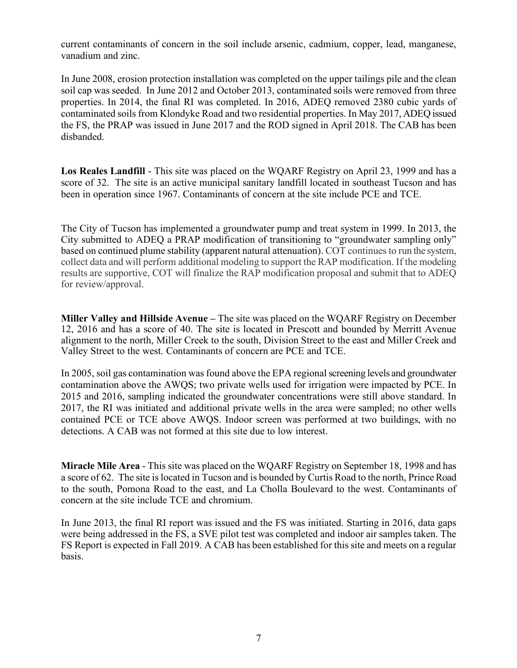current contaminants of concern in the soil include arsenic, cadmium, copper, lead, manganese, vanadium and zinc.

In June 2008, erosion protection installation was completed on the upper tailings pile and the clean soil cap was seeded. In June 2012 and October 2013, contaminated soils were removed from three properties. In 2014, the final RI was completed. In 2016, ADEQ removed 2380 cubic yards of contaminated soils from Klondyke Road and two residential properties. In May 2017, ADEQ issued the FS, the PRAP was issued in June 2017 and the ROD signed in April 2018. The CAB has been disbanded.

**Los Reales Landfill** - This site was placed on the WQARF Registry on April 23, 1999 and has a score of 32. The site is an active municipal sanitary landfill located in southeast Tucson and has been in operation since 1967. Contaminants of concern at the site include PCE and TCE.

The City of Tucson has implemented a groundwater pump and treat system in 1999. In 2013, the City submitted to ADEQ a PRAP modification of transitioning to "groundwater sampling only" based on continued plume stability (apparent natural attenuation). COT continues to run the system, collect data and will perform additional modeling to support the RAP modification. If the modeling results are supportive, COT will finalize the RAP modification proposal and submit that to ADEQ for review/approval.

**Miller Valley and Hillside Avenue –** The site was placed on the WQARF Registry on December 12, 2016 and has a score of 40. The site is located in Prescott and bounded by Merritt Avenue alignment to the north, Miller Creek to the south, Division Street to the east and Miller Creek and Valley Street to the west. Contaminants of concern are PCE and TCE.

In 2005, soil gas contamination was found above the EPA regional screening levels and groundwater contamination above the AWQS; two private wells used for irrigation were impacted by PCE. In 2015 and 2016, sampling indicated the groundwater concentrations were still above standard. In 2017, the RI was initiated and additional private wells in the area were sampled; no other wells contained PCE or TCE above AWQS. Indoor screen was performed at two buildings, with no detections. A CAB was not formed at this site due to low interest.

**Miracle Mile Area** - This site was placed on the WQARF Registry on September 18, 1998 and has a score of 62. The site is located in Tucson and is bounded by Curtis Road to the north, Prince Road to the south, Pomona Road to the east, and La Cholla Boulevard to the west. Contaminants of concern at the site include TCE and chromium.

In June 2013, the final RI report was issued and the FS was initiated. Starting in 2016, data gaps were being addressed in the FS, a SVE pilot test was completed and indoor air samples taken. The FS Report is expected in Fall 2019. A CAB has been established for this site and meets on a regular basis.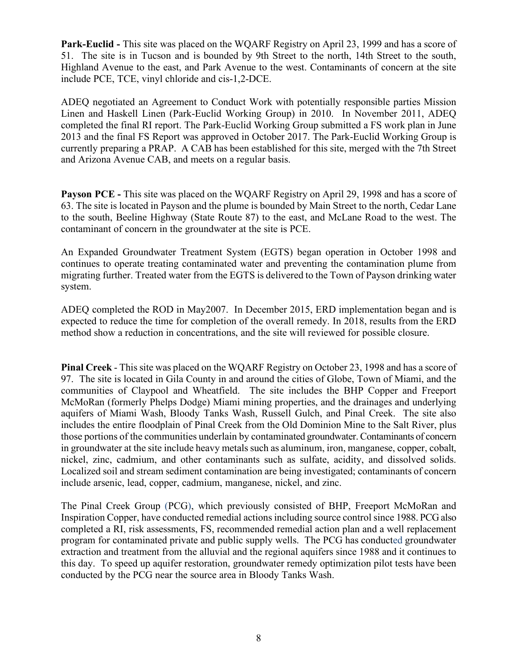**Park-Euclid -** This site was placed on the WQARF Registry on April 23, 1999 and has a score of 51. The site is in Tucson and is bounded by 9th Street to the north, 14th Street to the south, Highland Avenue to the east, and Park Avenue to the west. Contaminants of concern at the site include PCE, TCE, vinyl chloride and cis-1,2-DCE.

ADEQ negotiated an Agreement to Conduct Work with potentially responsible parties Mission Linen and Haskell Linen (Park-Euclid Working Group) in 2010. In November 2011, ADEQ completed the final RI report. The Park-Euclid Working Group submitted a FS work plan in June 2013 and the final FS Report was approved in October 2017. The Park-Euclid Working Group is currently preparing a PRAP. A CAB has been established for this site, merged with the 7th Street and Arizona Avenue CAB, and meets on a regular basis.

**Payson PCE -** This site was placed on the WQARF Registry on April 29, 1998 and has a score of 63. The site is located in Payson and the plume is bounded by Main Street to the north, Cedar Lane to the south, Beeline Highway (State Route 87) to the east, and McLane Road to the west. The contaminant of concern in the groundwater at the site is PCE.

An Expanded Groundwater Treatment System (EGTS) began operation in October 1998 and continues to operate treating contaminated water and preventing the contamination plume from migrating further. Treated water from the EGTS is delivered to the Town of Payson drinking water system.

ADEQ completed the ROD in May2007. In December 2015, ERD implementation began and is expected to reduce the time for completion of the overall remedy. In 2018, results from the ERD method show a reduction in concentrations, and the site will reviewed for possible closure.

**Pinal Creek** - This site was placed on the WQARF Registry on October 23, 1998 and has a score of 97. The site is located in Gila County in and around the cities of Globe, Town of Miami, and the communities of Claypool and Wheatfield. The site includes the BHP Copper and Freeport McMoRan (formerly Phelps Dodge) Miami mining properties, and the drainages and underlying aquifers of Miami Wash, Bloody Tanks Wash, Russell Gulch, and Pinal Creek. The site also includes the entire floodplain of Pinal Creek from the Old Dominion Mine to the Salt River, plus those portions of the communities underlain by contaminated groundwater. Contaminants of concern in groundwater at the site include heavy metals such as aluminum, iron, manganese, copper, cobalt, nickel, zinc, cadmium, and other contaminants such as sulfate, acidity, and dissolved solids. Localized soil and stream sediment contamination are being investigated; contaminants of concern include arsenic, lead, copper, cadmium, manganese, nickel, and zinc.

The Pinal Creek Group (PCG), which previously consisted of BHP, Freeport McMoRan and Inspiration Copper, have conducted remedial actions including source control since 1988. PCG also completed a RI, risk assessments, FS, recommended remedial action plan and a well replacement program for contaminated private and public supply wells. The PCG has conducted groundwater extraction and treatment from the alluvial and the regional aquifers since 1988 and it continues to this day. To speed up aquifer restoration, groundwater remedy optimization pilot tests have been conducted by the PCG near the source area in Bloody Tanks Wash.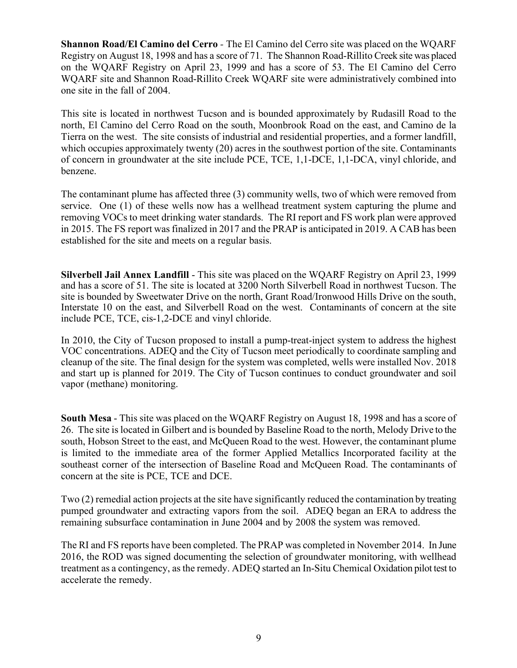**Shannon Road/El Camino del Cerro** *-* The El Camino del Cerro site was placed on the WQARF Registry on August 18, 1998 and has a score of 71. The Shannon Road-Rillito Creek site was placed on the WQARF Registry on April 23, 1999 and has a score of 53. The El Camino del Cerro WQARF site and Shannon Road-Rillito Creek WQARF site were administratively combined into one site in the fall of 2004.

This site is located in northwest Tucson and is bounded approximately by Rudasill Road to the north, El Camino del Cerro Road on the south, Moonbrook Road on the east, and Camino de la Tierra on the west. The site consists of industrial and residential properties, and a former landfill, which occupies approximately twenty (20) acres in the southwest portion of the site. Contaminants of concern in groundwater at the site include PCE, TCE, 1,1-DCE, 1,1-DCA, vinyl chloride, and benzene.

The contaminant plume has affected three (3) community wells, two of which were removed from service. One (1) of these wells now has a wellhead treatment system capturing the plume and removing VOCs to meet drinking water standards. The RI report and FS work plan were approved in 2015. The FS report was finalized in 2017 and the PRAP is anticipated in 2019. A CAB has been established for the site and meets on a regular basis.

**Silverbell Jail Annex Landfill** - This site was placed on the WQARF Registry on April 23, 1999 and has a score of 51. The site is located at 3200 North Silverbell Road in northwest Tucson. The site is bounded by Sweetwater Drive on the north, Grant Road/Ironwood Hills Drive on the south, Interstate 10 on the east, and Silverbell Road on the west. Contaminants of concern at the site include PCE, TCE, cis-1,2-DCE and vinyl chloride.

In 2010, the City of Tucson proposed to install a pump-treat-inject system to address the highest VOC concentrations. ADEQ and the City of Tucson meet periodically to coordinate sampling and cleanup of the site. The final design for the system was completed, wells were installed Nov. 2018 and start up is planned for 2019. The City of Tucson continues to conduct groundwater and soil vapor (methane) monitoring.

**South Mesa** - This site was placed on the WQARF Registry on August 18, 1998 and has a score of 26. The site is located in Gilbert and is bounded by Baseline Road to the north, Melody Drive to the south, Hobson Street to the east, and McQueen Road to the west. However, the contaminant plume is limited to the immediate area of the former Applied Metallics Incorporated facility at the southeast corner of the intersection of Baseline Road and McQueen Road. The contaminants of concern at the site is PCE, TCE and DCE.

Two (2) remedial action projects at the site have significantly reduced the contamination by treating pumped groundwater and extracting vapors from the soil. ADEQ began an ERA to address the remaining subsurface contamination in June 2004 and by 2008 the system was removed.

The RI and FS reports have been completed. The PRAP was completed in November 2014. In June 2016, the ROD was signed documenting the selection of groundwater monitoring, with wellhead treatment as a contingency, as the remedy. ADEQ started an In-Situ Chemical Oxidation pilot test to accelerate the remedy.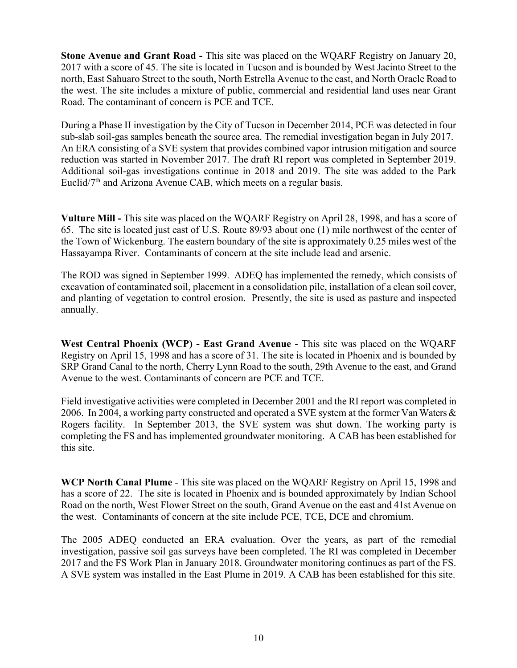**Stone Avenue and Grant Road -** This site was placed on the WQARF Registry on January 20, 2017 with a score of 45. The site is located in Tucson and is bounded by West Jacinto Street to the north, East Sahuaro Street to the south, North Estrella Avenue to the east, and North Oracle Road to the west. The site includes a mixture of public, commercial and residential land uses near Grant Road. The contaminant of concern is PCE and TCE.

During a Phase II investigation by the City of Tucson in December 2014, PCE was detected in four sub-slab soil-gas samples beneath the source area. The remedial investigation began in July 2017. An ERA consisting of a SVE system that provides combined vapor intrusion mitigation and source reduction was started in November 2017. The draft RI report was completed in September 2019. Additional soil-gas investigations continue in 2018 and 2019. The site was added to the Park Euclid/7<sup>th</sup> and Arizona Avenue CAB, which meets on a regular basis.

**Vulture Mill -** This site was placed on the WQARF Registry on April 28, 1998, and has a score of 65. The site is located just east of U.S. Route 89/93 about one (1) mile northwest of the center of the Town of Wickenburg. The eastern boundary of the site is approximately 0.25 miles west of the Hassayampa River. Contaminants of concern at the site include lead and arsenic.

The ROD was signed in September 1999. ADEQ has implemented the remedy, which consists of excavation of contaminated soil, placement in a consolidation pile, installation of a clean soil cover, and planting of vegetation to control erosion. Presently, the site is used as pasture and inspected annually.

**West Central Phoenix (WCP) - East Grand Avenue** - This site was placed on the WQARF Registry on April 15, 1998 and has a score of 31. The site is located in Phoenix and is bounded by SRP Grand Canal to the north, Cherry Lynn Road to the south, 29th Avenue to the east, and Grand Avenue to the west. Contaminants of concern are PCE and TCE.

Field investigative activities were completed in December 2001 and the RI report was completed in 2006. In 2004, a working party constructed and operated a SVE system at the former Van Waters & Rogers facility. In September 2013, the SVE system was shut down. The working party is completing the FS and has implemented groundwater monitoring. A CAB has been established for this site.

**WCP North Canal Plume** - This site was placed on the WQARF Registry on April 15, 1998 and has a score of 22. The site is located in Phoenix and is bounded approximately by Indian School Road on the north, West Flower Street on the south, Grand Avenue on the east and 41st Avenue on the west. Contaminants of concern at the site include PCE, TCE, DCE and chromium.

The 2005 ADEQ conducted an ERA evaluation. Over the years, as part of the remedial investigation, passive soil gas surveys have been completed. The RI was completed in December 2017 and the FS Work Plan in January 2018. Groundwater monitoring continues as part of the FS. A SVE system was installed in the East Plume in 2019. A CAB has been established for this site.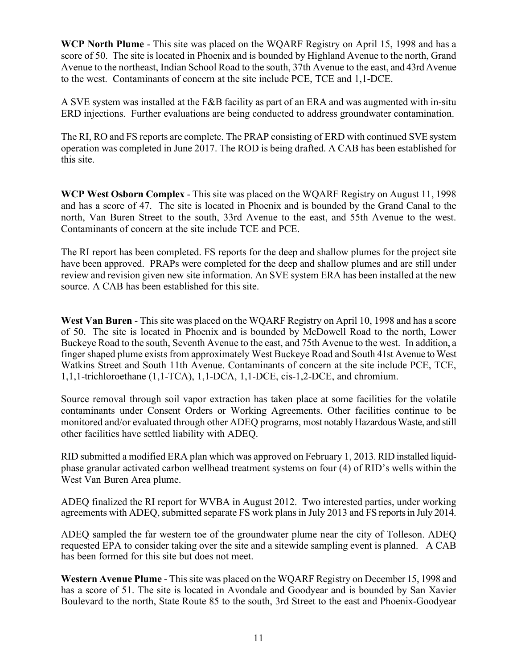**WCP North Plume** - This site was placed on the WQARF Registry on April 15, 1998 and has a score of 50. The site is located in Phoenix and is bounded by Highland Avenue to the north, Grand Avenue to the northeast, Indian School Road to the south, 37th Avenue to the east, and 43rd Avenue to the west. Contaminants of concern at the site include PCE, TCE and 1,1-DCE.

A SVE system was installed at the F&B facility as part of an ERA and was augmented with in-situ ERD injections. Further evaluations are being conducted to address groundwater contamination.

The RI, RO and FS reports are complete. The PRAP consisting of ERD with continued SVE system operation was completed in June 2017. The ROD is being drafted. A CAB has been established for this site.

**WCP West Osborn Complex** - This site was placed on the WQARF Registry on August 11, 1998 and has a score of 47. The site is located in Phoenix and is bounded by the Grand Canal to the north, Van Buren Street to the south, 33rd Avenue to the east, and 55th Avenue to the west. Contaminants of concern at the site include TCE and PCE.

The RI report has been completed. FS reports for the deep and shallow plumes for the project site have been approved. PRAPs were completed for the deep and shallow plumes and are still under review and revision given new site information. An SVE system ERA has been installed at the new source. A CAB has been established for this site.

**West Van Buren** - This site was placed on the WQARF Registry on April 10, 1998 and has a score of 50. The site is located in Phoenix and is bounded by McDowell Road to the north, Lower Buckeye Road to the south, Seventh Avenue to the east, and 75th Avenue to the west. In addition, a finger shaped plume exists from approximately West Buckeye Road and South 41st Avenue to West Watkins Street and South 11th Avenue. Contaminants of concern at the site include PCE, TCE, 1,1,1-trichloroethane (1,1-TCA), 1,1-DCA, 1,1-DCE, cis-1,2-DCE, and chromium.

Source removal through soil vapor extraction has taken place at some facilities for the volatile contaminants under Consent Orders or Working Agreements. Other facilities continue to be monitored and/or evaluated through other ADEQ programs, most notably Hazardous Waste, and still other facilities have settled liability with ADEQ.

RID submitted a modified ERA plan which was approved on February 1, 2013. RID installed liquidphase granular activated carbon wellhead treatment systems on four (4) of RID's wells within the West Van Buren Area plume.

ADEQ finalized the RI report for WVBA in August 2012. Two interested parties, under working agreements with ADEQ, submitted separate FS work plansin July 2013 and FS reportsin July 2014.

ADEQ sampled the far western toe of the groundwater plume near the city of Tolleson. ADEQ requested EPA to consider taking over the site and a sitewide sampling event is planned. A CAB has been formed for this site but does not meet.

**Western Avenue Plume** - This site was placed on the WQARF Registry on December 15, 1998 and has a score of 51. The site is located in Avondale and Goodyear and is bounded by San Xavier Boulevard to the north, State Route 85 to the south, 3rd Street to the east and Phoenix-Goodyear